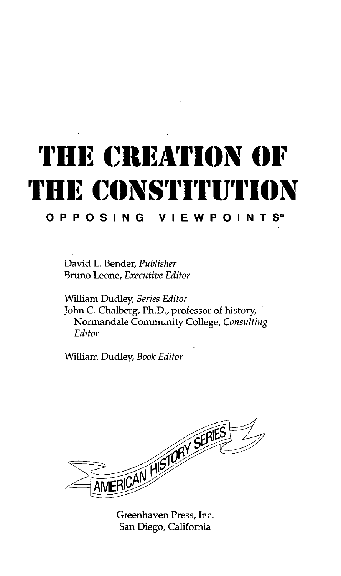## **THE CREATION OF ME CONSTITUTION r i i**

**OPPOSIN G VIEWPOINTS <sup>9</sup>**

David L. Bender, *Publisher* Bruno Leone, *Executive Editor*

William Dudley, *Series Editor* John C. Chalberg, Ph.D., professor of history, Normandale Community College, *Consulting Editor*

William Dudley, *Book Editor*



Greenhaven Press, Inc. San Diego, California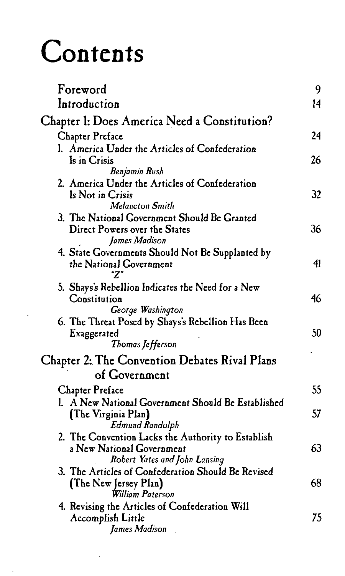## **Contents**

| Foreword                                                                  | 9  |
|---------------------------------------------------------------------------|----|
| Introduction                                                              | 14 |
| Chapter 1: Does America Need a Constitution?                              |    |
| <b>Chapter Preface</b>                                                    | 24 |
| l. America Under the Articles of Confederation                            |    |
| Is in Crisis                                                              | 26 |
| Benjamin Rush<br>2. America Under the Articles of Confederation           |    |
| Is Not in Crisis                                                          | 32 |
| <b>Melancton Smith</b>                                                    |    |
| 3. The National Government Should Be Granted                              |    |
| Direct Powers over the States<br>James Madison                            | 36 |
| 4. State Governments Should Not Be Supplanted by                          |    |
| the National Government                                                   | 41 |
| "Z"                                                                       |    |
| 5. Shays's Rebellion Indicates the Need for a New<br>Constitution         | 46 |
| George Washington                                                         |    |
| 6. The Threat Posed by Shays's Rebellion Has Been                         |    |
| Exaggerated<br>Thomas Jefferson                                           | 50 |
|                                                                           |    |
| Chapter 2: The Convention Debates Rival Plans                             |    |
| of Government                                                             |    |
| <b>Chapter Preface</b>                                                    | 55 |
| 1. A New National Government Should Be Established<br>(The Virginia Plan) | 57 |
| <b>Edmund Randolph</b>                                                    |    |
| 2. The Convention Lacks the Authority to Establish                        |    |
| a New National Government<br>Robert Yates and John Lansing                | 63 |
| 3. The Articles of Confederation Should Be Revised                        |    |
| (The New Jersey Plan)                                                     | 68 |
| William Paterson                                                          |    |
| 4. Revising the Articles of Confederation Will                            | 75 |
| Accomplish Little<br>James Madison                                        |    |
|                                                                           |    |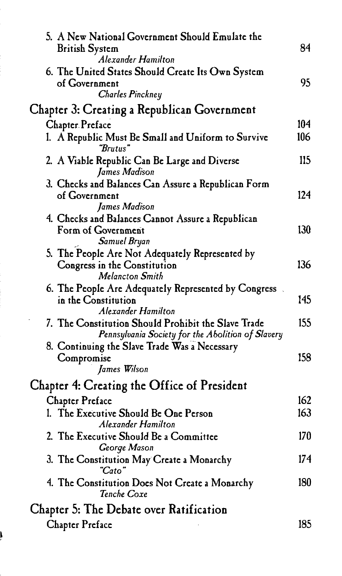| 5. A New National Government Should Emulate the                                                                                                           |     |
|-----------------------------------------------------------------------------------------------------------------------------------------------------------|-----|
| <b>British System</b><br>Alexander Hamilton                                                                                                               | 84  |
| 6. The United States Should Create Its Own System<br>of Government<br><b>Charles Pinckney</b>                                                             | 95. |
| Chapter 3: Creating a Republican Government                                                                                                               |     |
| <b>Chapter Preface</b>                                                                                                                                    | 104 |
| 1. A Republic Must Be Small and Uniform to Survive<br>"Brutus"                                                                                            | 106 |
| 2. A Viable Republic Can Be Large and Diverse<br>James Madison                                                                                            | 115 |
| 3. Checks and Balances Can Assure a Republican Form<br>of Government<br>James Madison                                                                     | 124 |
| 4. Checks and Balances Cannot Assure a Republican<br>Form of Government<br>Samuel Bryan                                                                   | 130 |
| 5. The People Are Not Adequately Represented by<br>Congress in the Constitution<br>Melancton Smith                                                        | 136 |
| 6. The People Are Adequately Represented by Congress.<br>in the Constitution<br>Alexander Hamilton                                                        | 145 |
| 7. The Constitution Should Prohibit the Slave Trade<br>Pennsylvania Society for the Abolition of Slavery<br>8. Continuing the Slave Trade Was a Necessary | 155 |
| Compromise<br>James Wilson                                                                                                                                | 158 |
| Chapter 4: Creating the Office of President                                                                                                               |     |
| <b>Chapter Preface</b>                                                                                                                                    | 162 |
| 1. The Executive Should Be One Person<br>Alexander Hamilton                                                                                               | 163 |
| 2. The Executive Should Be a Committee<br>George Mason                                                                                                    | 170 |
| 3. The Constitution May Create a Monarchy<br>"Cato"                                                                                                       | 174 |
| 4. The Constitution Does Not Create a Monarchy<br>Tenche Coxe                                                                                             | 180 |
| Chapter 5: The Debate over Ratification                                                                                                                   |     |
| <b>Chapter Preface</b>                                                                                                                                    | 185 |